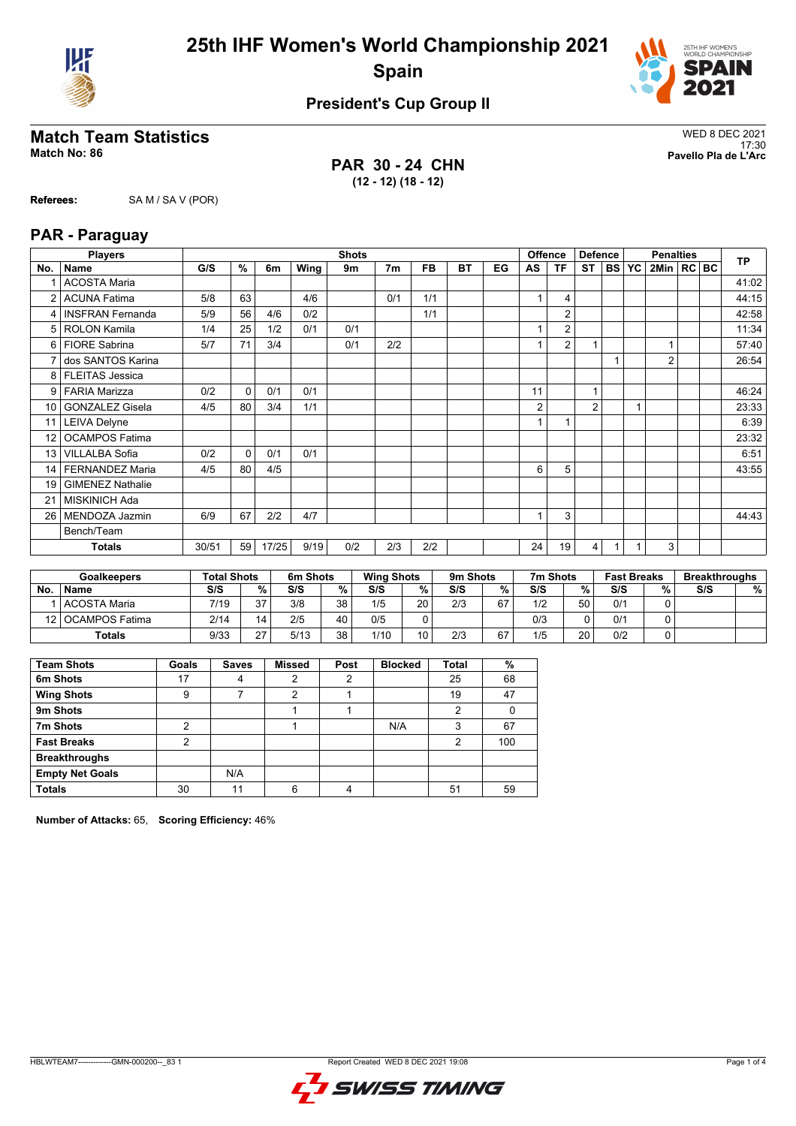



## **President's Cup Group II**

## **Match Team Statistics** WED 8 DEC 2021

**Referees:** SA M / SA V (POR)

**PAR 30 - 24 CHN (12 - 12) (18 - 12)**

17:30 **Match No: 86 Pavello Pla de L'Arc**

|                 | <b>Players</b>          |       |          |       |      | <b>Shots</b> |                |           |    |    | <b>Offence</b> |                | <b>Defence</b> |           |           | <b>Penalties</b> |  | <b>TP</b> |
|-----------------|-------------------------|-------|----------|-------|------|--------------|----------------|-----------|----|----|----------------|----------------|----------------|-----------|-----------|------------------|--|-----------|
| No.             | Name                    | G/S   | %        | 6m    | Wing | 9m           | 7 <sub>m</sub> | <b>FB</b> | BT | EG | AS             | ΤF             | <b>ST</b>      | <b>BS</b> | <b>YC</b> | 2Min   RC BC     |  |           |
| 1               | <b>ACOSTA Maria</b>     |       |          |       |      |              |                |           |    |    |                |                |                |           |           |                  |  | 41:02     |
| $\overline{2}$  | <b>ACUNA Fatima</b>     | 5/8   | 63       |       | 4/6  |              | 0/1            | 1/1       |    |    | 1              | 4              |                |           |           |                  |  | 44:15     |
| 4               | <b>INSFRAN Fernanda</b> | 5/9   | 56       | 4/6   | 0/2  |              |                | 1/1       |    |    |                | $\overline{2}$ |                |           |           |                  |  | 42:58     |
| 5               | <b>ROLON Kamila</b>     | 1/4   | 25       | 1/2   | 0/1  | 0/1          |                |           |    |    | 1              | $\overline{2}$ |                |           |           |                  |  | 11:34     |
| 6               | <b>FIORE Sabrina</b>    | 5/7   | 71       | 3/4   |      | 0/1          | 2/2            |           |    |    |                | 2              | 1              |           |           |                  |  | 57:40     |
| $\overline{7}$  | dos SANTOS Karina       |       |          |       |      |              |                |           |    |    |                |                |                |           |           | $\overline{2}$   |  | 26:54     |
| 8               | <b>FLEITAS Jessica</b>  |       |          |       |      |              |                |           |    |    |                |                |                |           |           |                  |  |           |
| 9               | <b>FARIA Marizza</b>    | 0/2   | 0        | 0/1   | 0/1  |              |                |           |    |    | 11             |                | 1              |           |           |                  |  | 46:24     |
| 10 <sup>1</sup> | <b>GONZALEZ Gisela</b>  | 4/5   | 80       | 3/4   | 1/1  |              |                |           |    |    | 2              |                | $\overline{2}$ |           | 1         |                  |  | 23:33     |
| 11              | <b>LEIVA Delyne</b>     |       |          |       |      |              |                |           |    |    |                |                |                |           |           |                  |  | 6:39      |
| 12              | <b>OCAMPOS Fatima</b>   |       |          |       |      |              |                |           |    |    |                |                |                |           |           |                  |  | 23:32     |
| 13              | <b>VILLALBA Sofia</b>   | 0/2   | $\Omega$ | 0/1   | 0/1  |              |                |           |    |    |                |                |                |           |           |                  |  | 6:51      |
| 14              | <b>FERNANDEZ Maria</b>  | 4/5   | 80       | 4/5   |      |              |                |           |    |    | 6              | 5              |                |           |           |                  |  | 43:55     |
| 19              | <b>GIMENEZ Nathalie</b> |       |          |       |      |              |                |           |    |    |                |                |                |           |           |                  |  |           |
| 21              | <b>MISKINICH Ada</b>    |       |          |       |      |              |                |           |    |    |                |                |                |           |           |                  |  |           |
| 26              | MENDOZA Jazmin          | 6/9   | 67       | 2/2   | 4/7  |              |                |           |    |    |                | 3              |                |           |           |                  |  | 44:43     |
|                 | Bench/Team              |       |          |       |      |              |                |           |    |    |                |                |                |           |           |                  |  |           |
|                 | <b>Totals</b>           | 30/51 | 59       | 17/25 | 9/19 | 0/2          | 2/3            | 2/2       |    |    | 24             | 19             | 4              |           |           | 3                |  |           |

|     | <b>Goalkeepers</b>  | <b>Total Shots</b> |    | 6m Shots |    | <b>Wing Shots</b> |    | 9m Shots |    | 7m Shots |    | <b>Fast Breaks</b> |    | <b>Breakthroughs</b> |   |
|-----|---------------------|--------------------|----|----------|----|-------------------|----|----------|----|----------|----|--------------------|----|----------------------|---|
| No. | <b>Name</b>         | S/S                | %  | S/S      | %  | S/S               | %  | S/S      | %  | S/S      | %  | S/S                | %. | S/S                  | % |
|     | <b>ACOSTA Maria</b> | 7/19               | 37 | 3/8      | 38 | 1/5               | 20 | 2/3      | 67 | 1/2      | 50 | 0/1                |    |                      |   |
|     | 12   OCAMPOS Fatima | 2/14               | 14 | 2/5      | 40 | 0/5               |    |          |    | 0/3      |    | 0/1                |    |                      |   |
|     | <b>Totals</b>       | 9/33               | 27 | 5/13     | 38 | 1/10              | 10 | 2/3      | 67 | 1/5      | 20 | 0/2                |    |                      |   |

| <b>Team Shots</b>      | Goals | <b>Saves</b> | <b>Missed</b> | Post | <b>Blocked</b> | <b>Total</b> | %   |
|------------------------|-------|--------------|---------------|------|----------------|--------------|-----|
| 6m Shots               | 17    | 4            | 2             | 2    |                | 25           | 68  |
| <b>Wing Shots</b>      | 9     |              | 2             |      |                | 19           | 47  |
| 9m Shots               |       |              |               |      |                | 2            |     |
| 7m Shots               | 2     |              |               |      | N/A            | 3            | 67  |
| <b>Fast Breaks</b>     | っ     |              |               |      |                | 2            | 100 |
| <b>Breakthroughs</b>   |       |              |               |      |                |              |     |
| <b>Empty Net Goals</b> |       | N/A          |               |      |                |              |     |
| <b>Totals</b>          | 30    | 11           | 6             | 4    |                | 51           | 59  |

**Number of Attacks:** 65, **Scoring Efficiency:** 46%

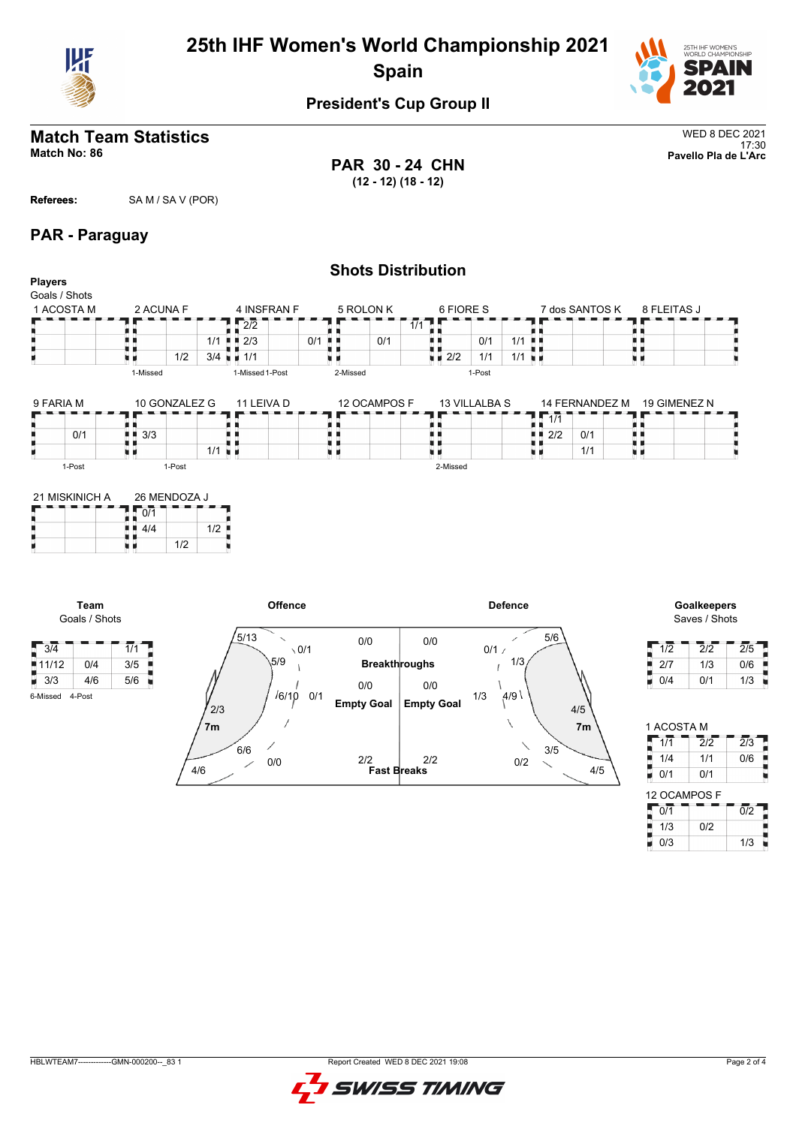



## **President's Cup Group II**

## **Match Team Statistics** WED 8 DEC 2021

**PAR 30 - 24 CHN (12 - 12) (18 - 12)**

17:30 **Match No: 86 Pavello Pla de L'Arc**

## **Referees:** SA M / SA V (POR)

## **PAR - Paraguay**

| <b>Players</b>              |                       |                                                 |                     |                        |                            |              | <b>Shots Distribution</b> |                           |               |                |                        |                                   |                |         |              |                              |   |
|-----------------------------|-----------------------|-------------------------------------------------|---------------------|------------------------|----------------------------|--------------|---------------------------|---------------------------|---------------|----------------|------------------------|-----------------------------------|----------------|---------|--------------|------------------------------|---|
| Goals / Shots<br>1 ACOSTA M |                       | 2 ACUNA F                                       |                     |                        | 4 INSFRAN F                |              | 5 ROLON K                 |                           | 6 FIORE S     |                |                        |                                   | 7 dos SANTOS K |         | 8 FLEITAS J  |                              |   |
|                             |                       |                                                 |                     |                        | $\overline{2/2}$           |              |                           | $\overline{1/1}$          |               |                |                        |                                   |                |         |              |                              |   |
|                             |                       |                                                 |                     |                        | $1/1$ $\blacksquare$ 2/3   | $0/1$ .      | 0/1                       | . .                       |               | 0/1            | $1/1$                  |                                   |                |         |              |                              |   |
| н                           |                       | 風 目                                             | 1/2                 |                        | $3/4$ $\blacksquare$ $1/1$ |              |                           | . .<br>$\blacksquare$ 2/2 |               | 1/1            | $1/1$ u $\blacksquare$ |                                   |                | 川 目     |              |                              |   |
|                             |                       | 1-Missed                                        |                     |                        | 1-Missed 1-Post            |              | 2-Missed                  |                           | 1-Post        |                |                        |                                   |                |         |              |                              |   |
| 9 FARIA M                   |                       |                                                 | 10 GONZALEZ G       |                        | 11 LEIVA D                 |              | 12 OCAMPOS F              |                           | 13 VILLALBA S |                |                        |                                   | 14 FERNANDEZ M |         | 19 GIMENEZ N |                              |   |
|                             |                       |                                                 |                     |                        |                            |              |                           |                           |               |                | ш                      | $\overline{1/1}$<br>ж.            |                |         |              |                              |   |
|                             | 0/1                   | 3/3<br>. .                                      |                     |                        |                            |              |                           | H H                       |               |                |                        | $\blacksquare$ $\blacksquare$ 2/2 | 0/1            |         |              |                              |   |
| ۳                           |                       | . .<br>6 H                                      |                     | $1/1$ u $\blacksquare$ |                            | 医肾           |                           | u p<br>υи                 |               |                | tr et                  |                                   | 1/1            | п<br>ш. |              |                              |   |
|                             | 1-Post                |                                                 | 1-Post              |                        |                            |              |                           |                           | 2-Missed      |                |                        |                                   |                |         |              |                              |   |
| н                           | 21 MISKINICH A        | 0/1<br>$\blacksquare$ $\blacksquare$ 4/4<br>u p | 26 MENDOZA J<br>1/2 | $1/2$                  |                            |              |                           |                           |               |                |                        |                                   |                |         |              |                              |   |
|                             | Team<br>Goals / Shots |                                                 |                     |                        |                            | Offence      |                           |                           |               | <b>Defence</b> |                        |                                   |                |         |              | Goalkeepers<br>Saves / Shots |   |
| $\sqrt{3/4}$                |                       | $\overline{1/1}$                                |                     |                        | 5/13                       | $\sqrt{0/1}$ | 0/0                       | 0/0                       |               | 0/1/           | ╱                      | 5/6                               |                |         | 1/2          | $\overline{2}/\overline{2}$  | 2 |
| 11/12                       | 0/4                   | 3/5                                             |                     |                        | 5/9                        |              | <b>Breakthroughs</b>      |                           |               |                | 1/3                    |                                   |                |         | 2/7          | 1/3                          | C |
| $\blacksquare$ 3/3          | 4/6                   | 5/6                                             |                     |                        |                            |              |                           |                           |               |                |                        |                                   |                |         | 0/4          | 0/1                          |   |
|                             |                       |                                                 |                     |                        |                            |              | 0/0                       | 0/0                       |               |                |                        |                                   |                |         |              |                              |   |

6-Missed 4-Post



| 1/2 | 2/2 | 2/5 |
|-----|-----|-----|
| 2/7 | 1/3 | 0/6 |
| 0/4 | 0/1 | 1/3 |

| 1 ACOSTA M   |                   |                  |
|--------------|-------------------|------------------|
| 1/1          | $\overline{2}$ /2 | $\overline{2}/3$ |
| 1/4          | 1/1               | 0/6              |
| 0/1          | 0/1               |                  |
|              |                   |                  |
| 12 OCAMPOS F |                   |                  |
| 0/1          |                   | $\overline{0/2}$ |
| 1/3          | 0/2               |                  |

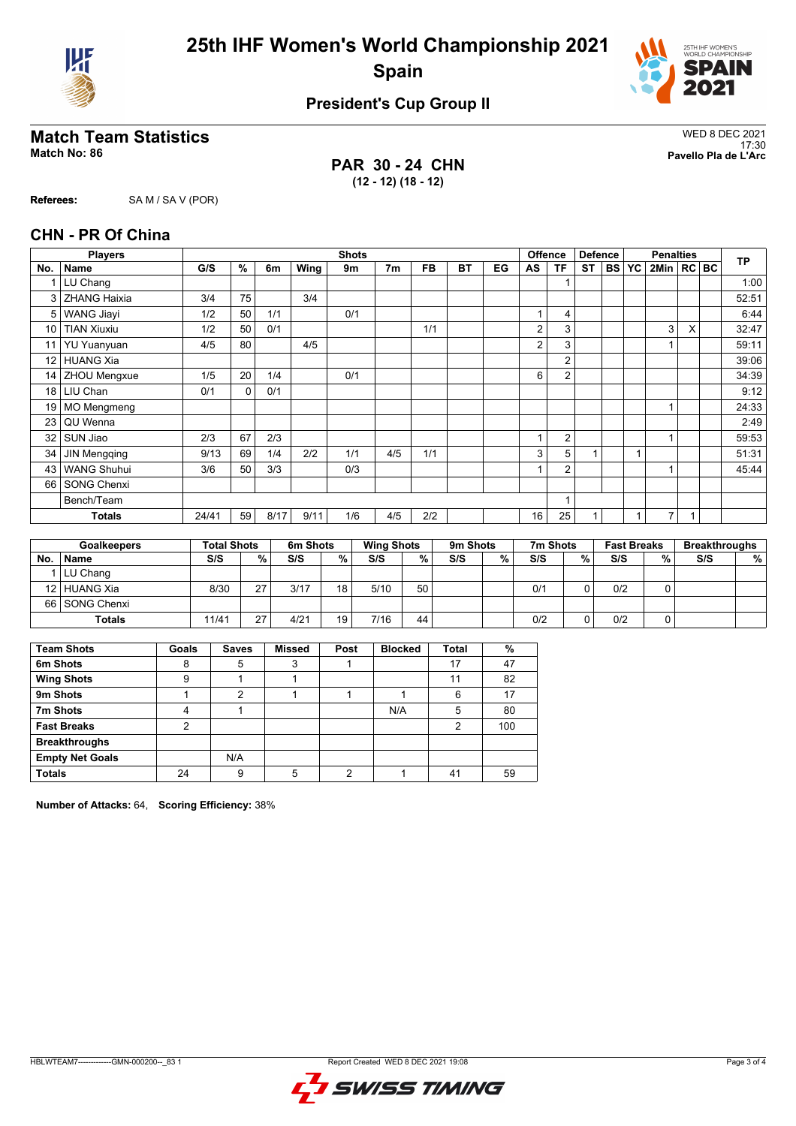



## **President's Cup Group II**

# WED 8 DEC 2021<br>Match No: 86 WED 8 DEC 2021<br>Pavello Pla de L'Arc

**Referees:** SA M / SA V (POR)

**PAR 30 - 24 CHN (12 - 12) (18 - 12)**

17:30 **Match No: 86 Pavello Pla de L'Arc**

|                 | <b>Players</b>      |       |          |      |      | <b>Shots</b> |                |           |           |    | <b>Offence</b> |                | <b>Defence</b> |           |    | <b>Penalties</b> |              |           |
|-----------------|---------------------|-------|----------|------|------|--------------|----------------|-----------|-----------|----|----------------|----------------|----------------|-----------|----|------------------|--------------|-----------|
| No.             | <b>Name</b>         | G/S   | %        | 6m   | Wing | 9m           | 7 <sub>m</sub> | <b>FB</b> | <b>BT</b> | EG | AS             | <b>TF</b>      | <b>ST</b>      | <b>BS</b> | YC | 2Min   RC   BC   |              | <b>TP</b> |
|                 | LU Chang            |       |          |      |      |              |                |           |           |    |                | 1              |                |           |    |                  |              | 1:00      |
|                 | 3 ZHANG Haixia      | 3/4   | 75       |      | 3/4  |              |                |           |           |    |                |                |                |           |    |                  |              | 52:51     |
| 5               | <b>WANG Jiayi</b>   | 1/2   | 50       | 1/1  |      | 0/1          |                |           |           |    |                | $\overline{4}$ |                |           |    |                  |              | 6:44      |
| 10              | <b>TIAN Xiuxiu</b>  | 1/2   | 50       | 0/1  |      |              |                | 1/1       |           |    | 2              | 3              |                |           |    | 3                | X            | 32:47     |
| 11              | <b>YU Yuanyuan</b>  | 4/5   | 80       |      | 4/5  |              |                |           |           |    | $\overline{2}$ | 3              |                |           |    |                  |              | 59:11     |
| 12 <sup>°</sup> | <b>HUANG Xia</b>    |       |          |      |      |              |                |           |           |    |                | $\overline{2}$ |                |           |    |                  |              | 39:06     |
|                 | 14   ZHOU Mengxue   | 1/5   | 20       | 1/4  |      | 0/1          |                |           |           |    | 6              | $\overline{2}$ |                |           |    |                  |              | 34:39     |
|                 | 18 LIU Chan         | 0/1   | $\Omega$ | 0/1  |      |              |                |           |           |    |                |                |                |           |    |                  |              | 9:12      |
|                 | 19 MO Mengmeng      |       |          |      |      |              |                |           |           |    |                |                |                |           |    | 1                |              | 24:33     |
| 23              | QU Wenna            |       |          |      |      |              |                |           |           |    |                |                |                |           |    |                  |              | 2:49      |
| 32              | SUN Jiao            | 2/3   | 67       | 2/3  |      |              |                |           |           |    |                | $\overline{2}$ |                |           |    | $\overline{ }$   |              | 59:53     |
| 34              | <b>JIN Mengqing</b> | 9/13  | 69       | 1/4  | 2/2  | 1/1          | 4/5            | 1/1       |           |    | 3              | 5              | $\overline{1}$ |           | 1  |                  |              | 51:31     |
| 43              | <b>WANG Shuhui</b>  | 3/6   | 50       | 3/3  |      | 0/3          |                |           |           |    |                | $\overline{2}$ |                |           |    | 1                |              | 45:44     |
|                 | 66 SONG Chenxi      |       |          |      |      |              |                |           |           |    |                |                |                |           |    |                  |              |           |
|                 | Bench/Team          |       |          |      |      |              |                |           |           |    |                | 1              |                |           |    |                  |              |           |
|                 | <b>Totals</b>       | 24/41 | 59       | 8/17 | 9/11 | 1/6          | 4/5            | 2/2       |           |    | 16             | 25             |                |           |    | $\overline{7}$   | $\mathbf{1}$ |           |

|    | <b>Goalkeepers</b> | <b>Total Shots</b> |    | 6m Shots |                 | <b>Wing Shots</b> |    | 9m Shots |   | 7m Shots |   | <b>Fast Breaks</b> |   | <b>Breakthroughs</b> |   |
|----|--------------------|--------------------|----|----------|-----------------|-------------------|----|----------|---|----------|---|--------------------|---|----------------------|---|
| No | <b>Name</b>        | S/S                | %  | S/S      | %               | S/S               | %  | S/S      | % | S/S      | % | S/S                | % | S/S                  | % |
|    | LU Chang           |                    |    |          |                 |                   |    |          |   |          |   |                    |   |                      |   |
|    | 12 HUANG Xia       | 8/30               | 27 | 3/17     | 18 <sup>1</sup> | 5/10              | 50 |          |   | 0/1      |   | 0/2                |   |                      |   |
|    | 66 SONG Chenxi     |                    |    |          |                 |                   |    |          |   |          |   |                    |   |                      |   |
|    | <b>Totals</b>      | 11/41              | 27 | 4/21     | 19              | 7/16              | 44 |          |   | 0/2      |   | 0/2                |   |                      |   |

| <b>Team Shots</b>      | Goals | <b>Saves</b> | <b>Missed</b> | Post | <b>Blocked</b> | <b>Total</b> | %   |
|------------------------|-------|--------------|---------------|------|----------------|--------------|-----|
| 6m Shots               | 8     | 5            | 3             |      |                | 17           | 47  |
| <b>Wing Shots</b>      | 9     |              |               |      |                | 11           | 82  |
| 9m Shots               |       | 2            |               |      |                | 6            | 17  |
| 7m Shots               | 4     |              |               |      | N/A            | 5            | 80  |
| <b>Fast Breaks</b>     | 2     |              |               |      |                | 2            | 100 |
| <b>Breakthroughs</b>   |       |              |               |      |                |              |     |
| <b>Empty Net Goals</b> |       | N/A          |               |      |                |              |     |
| <b>Totals</b>          | 24    | 9            | 5             | າ    |                | 41           | 59  |

**Number of Attacks:** 64, **Scoring Efficiency:** 38%